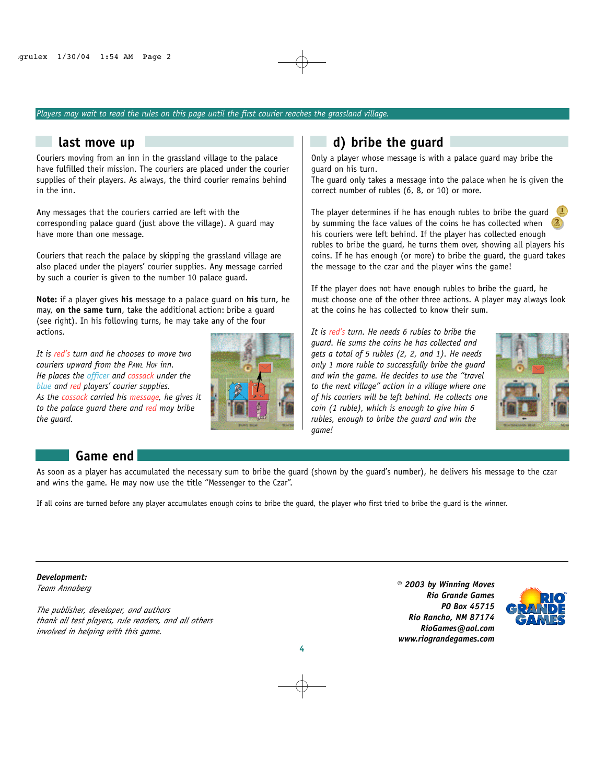### *Players may wait to read the rules on this page until the first courier reaches the grassland village.*

## **last move up**

Couriers moving from an inn in the grassland village to the palace have fulfilled their mission. The couriers are placed under the courier supplies of their players. As always, the third courier remains behind in the inn.

Any messages that the couriers carried are left with the corresponding palace guard (just above the village). A guard may have more than one message.

Couriers that reach the palace by skipping the grassland village are also placed under the players' courier supplies. Any message carried by such a courier is given to the number 10 palace guard.

**Note:** if a player gives **his** message to a palace guard on **his** turn, he may, **on the same turn**, take the additional action: bribe a guard (see right). In his following turns, he may take any of the four actions.

*It is red's turn and he chooses to move two couriers upward from the PAWL HOF inn. He places the officer and cossack under the blue and red players' courier supplies. As the cossack carried his message, he gives it to the palace guard there and red may bribe the guard.*



## **d) bribe the guard**

Only a player whose message is with a palace guard may bribe the guard on his turn.

The guard only takes a message into the palace when he is given the correct number of rubles (6, 8, or 10) or more.

The player determines if he has enough rubles to bribe the guard  $\Box$ by summing the face values of the coins he has collected when his couriers were left behind. If the player has collected enough rubles to bribe the guard, he turns them over, showing all players his coins. If he has enough (or more) to bribe the guard, the guard takes the message to the czar and the player wins the game!

If the player does not have enough rubles to bribe the guard, he must choose one of the other three actions. A player may always look at the coins he has collected to know their sum.

*It is red's turn. He needs 6 rubles to bribe the guard. He sums the coins he has collected and gets a total of 5 rubles (2, 2, and 1). He needs only 1 more ruble to successfully bribe the guard and win the game. He decides to use the "travel to the next village" action in a village where one of his couriers will be left behind. He collects one coin (1 ruble), which is enough to give him 6 rubles, enough to bribe the guard and win the game!*



## **Game end**

As soon as a player has accumulated the necessary sum to bribe the guard (shown by the guard's number), he delivers his message to the czar and wins the game. He may now use the title "Messenger to the Czar".

If all coins are turned before any player accumulates enough coins to bribe the guard, the player who first tried to bribe the guard is the winner.

*Development: Team Annaberg*

*The publisher, developer, and authors thank all test players, rule readers, and all others involved in helping with this game.*

*© 2003 by Winning Moves Rio Grande Games PO Box 45715 Rio Rancho, NM 87174 RioGames@aol.com www.riograndegames.com*



**4**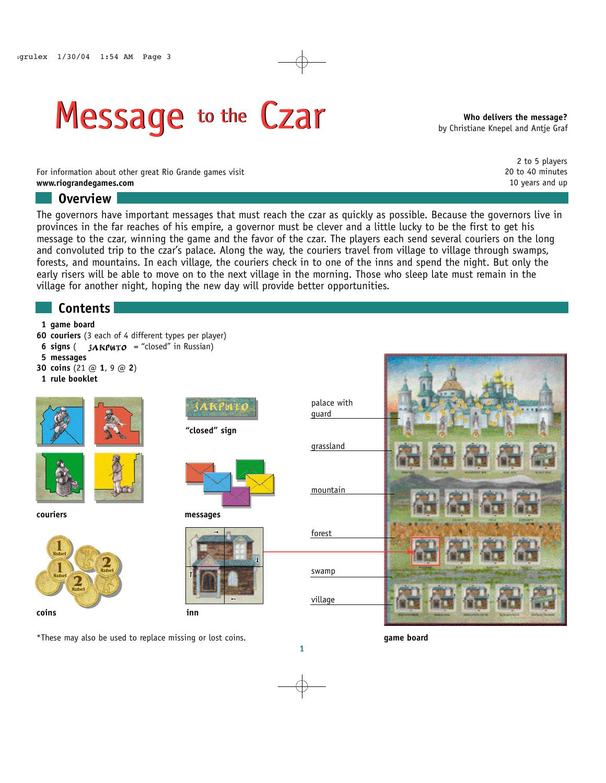# Message to the Czar Message to the Czar

**Who delivers the message?** by Christiane Knepel and Antje Graf

> 2 to 5 players 20 to 40 minutes 10 years and up

For information about other great Rio Grande games visit **www.riograndegames.com**

## **Overview**

The governors have important messages that must reach the czar as quickly as possible. Because the governors live in provinces in the far reaches of his empire, a governor must be clever and a little lucky to be the first to get his message to the czar, winning the game and the favor of the czar. The players each send several couriers on the long and convoluted trip to the czar's palace. Along the way, the couriers travel from village to village through swamps, forests, and mountains. In each village, the couriers check in to one of the inns and spend the night. But only the early risers will be able to move on to the next village in the morning. Those who sleep late must remain in the village for another night, hoping the new day will provide better opportunities.

# **Contents**

## **1 game board**

- **60 couriers** (3 each of 4 different types per player)
- **6 signs** ( $3AKPWTO = "closed"$  in Russian)
- **5 messages**
- **30 coins** (21 @ **1**, 9 @ **2**)
- **1 rule booklet**





**couriers**













\*These may also be used to replace missing or lost coins. **game board**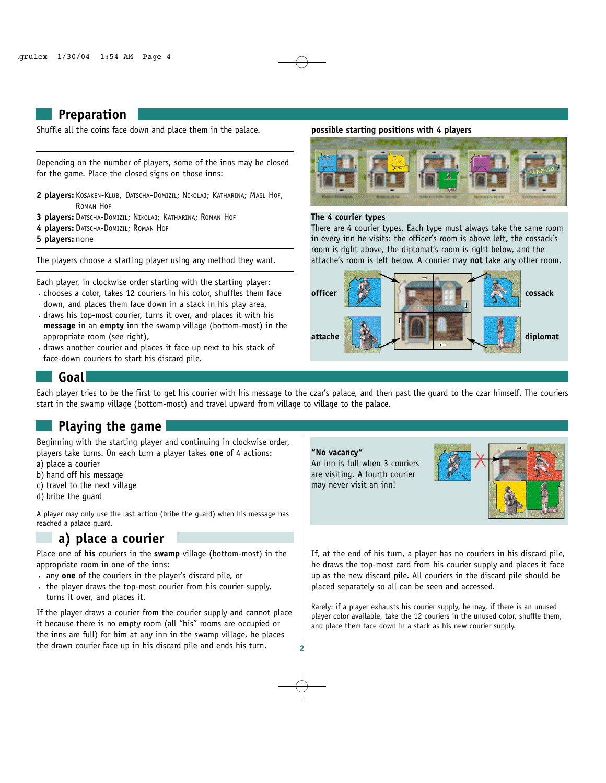## **Preparation**

Shuffle all the coins face down and place them in the palace.

Depending on the number of players, some of the inns may be closed for the game. Place the closed signs on those inns:

- **2 players:** KOSAKEN-KLUB, DATSCHA-DOMIZIL; NIKOLAJ; KATHARINA; MASL HOF, ROMAN HOF
- **3 players:** DATSCHA-DOMIZIL; NIKOLAJ; KATHARINA; ROMAN HOF
- **4 players:** DATSCHA-DOMIZIL; ROMAN HOF

**5 players:** none

The players choose a starting player using any method they want.

- 
- Each player, in clockwise order starting with the starting player: ·chooses a color, takes 12 couriers in his color, shuffles them face down, and places them face down in a stack in his play area,
- ·draws his top-most courier, turns it over, and places it with his **message** in an **empty** inn the swamp village (bottom-most) in the appropriate room (see right),
- ·draws another courier and places it face up next to his stack of face-down couriers to start his discard pile.

#### **possible starting positions with 4 players**



#### **The 4 courier types**

There are 4 courier types. Each type must always take the same room in every inn he visits: the officer's room is above left, the cossack's room is right above, the diplomat's room is right below, and the attache's room is left below. A courier may **not** take any other room.



## **Goal**

Each player tries to be the first to get his courier with his message to the czar's palace, and then past the guard to the czar himself. The couriers start in the swamp village (bottom-most) and travel upward from village to village to the palace.

# **Playing the game**

Beginning with the starting player and continuing in clockwise order, players take turns. On each turn a player takes **one** of 4 actions:

- a) place a courier
- b) hand off his message
- c) travel to the next village
- d) bribe the guard

A player may only use the last action (bribe the guard) when his message has reached a palace guard.

## **a) place a courier**

Place one of **his** couriers in the **swamp** village (bottom-most) in the appropriate room in one of the inns:

- · any **one** of the couriers in the player's discard pile, or
- · the player draws the top-most courier from his courier supply, turns it over, and places it.

If the player draws a courier from the courier supply and cannot place it because there is no empty room (all "his" rooms are occupied or the inns are full) for him at any inn in the swamp village, he places the drawn courier face up in his discard pile and ends his turn.



If, at the end of his turn, a player has no couriers in his discard pile, he draws the top-most card from his courier supply and places it face up as the new discard pile. All couriers in the discard pile should be placed separately so all can be seen and accessed.

Rarely: if a player exhausts his courier supply, he may, if there is an unused player color available, take the 12 couriers in the unused color, shuffle them, and place them face down in a stack as his new courier supply.